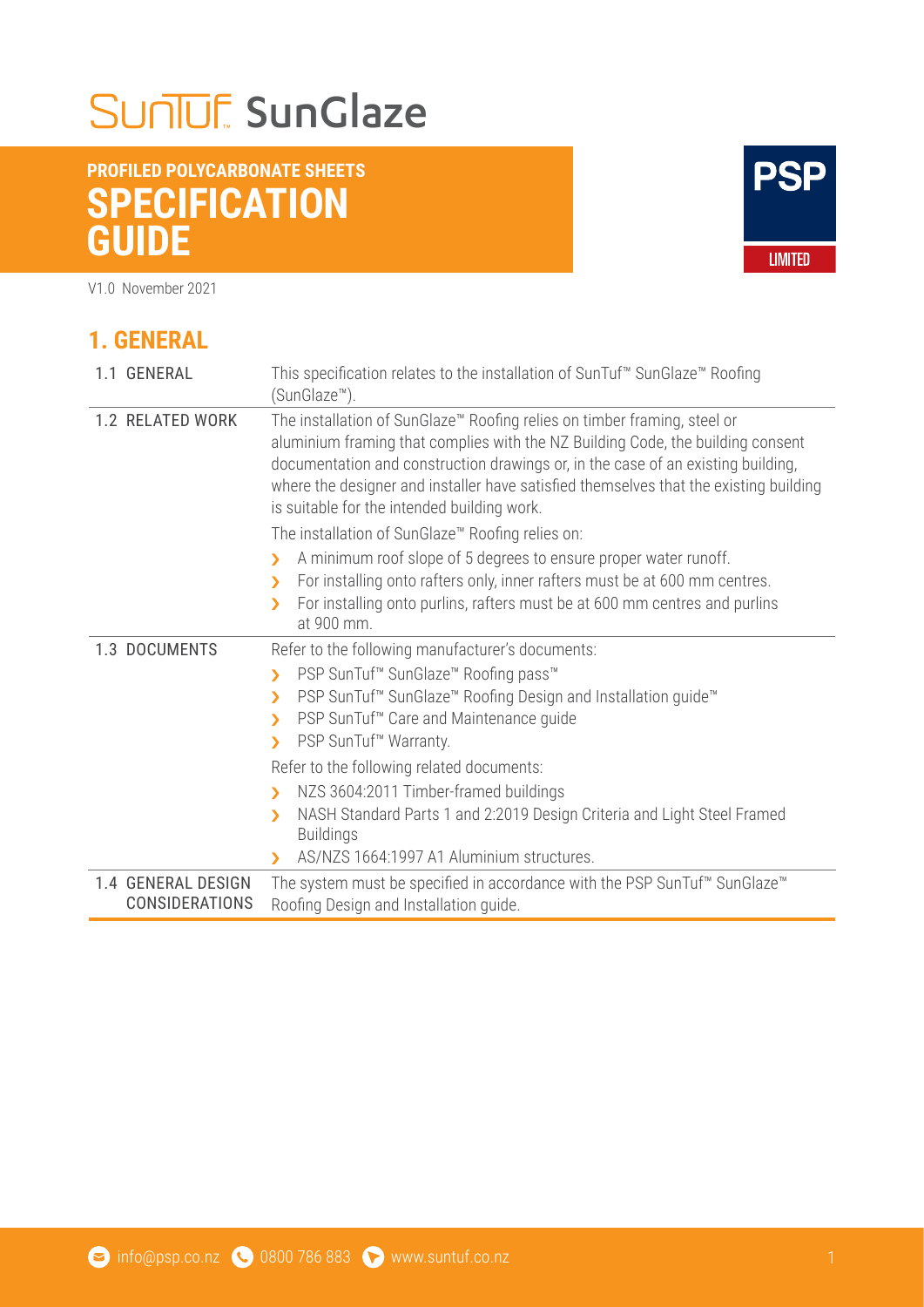## SUNUF SunGlaze

#### **PROFILED POLYCARBONATE SHEETS SPECIFICATION GUIDE**

V1.0 November 2021

**1. GENERAL** 

# **PSP LIMITED**

| 1.1 GENERAL                                 | This specification relates to the installation of SunTuf <sup>™</sup> SunGlaze <sup>™</sup> Roofing<br>(SunGlaze <sup>™</sup> ).                                                                                                                                                                                                                                                        |
|---------------------------------------------|-----------------------------------------------------------------------------------------------------------------------------------------------------------------------------------------------------------------------------------------------------------------------------------------------------------------------------------------------------------------------------------------|
| 1.2 RELATED WORK                            | The installation of SunGlaze™ Roofing relies on timber framing, steel or<br>aluminium framing that complies with the NZ Building Code, the building consent<br>documentation and construction drawings or, in the case of an existing building,<br>where the designer and installer have satisfied themselves that the existing building<br>is suitable for the intended building work. |
|                                             | The installation of SunGlaze <sup>™</sup> Roofing relies on:                                                                                                                                                                                                                                                                                                                            |
|                                             | A minimum roof slope of 5 degrees to ensure proper water runoff.<br>У<br>For installing onto rafters only, inner rafters must be at 600 mm centres.<br>У<br>For installing onto purlins, rafters must be at 600 mm centres and purlins<br>У<br>at 900 mm.                                                                                                                               |
| 1.3 DOCUMENTS                               | Refer to the following manufacturer's documents:                                                                                                                                                                                                                                                                                                                                        |
|                                             | PSP SunTuf <sup>™</sup> SunGlaze <sup>™</sup> Roofing pass <sup>™</sup><br>$\blacktriangleright$<br>PSP SunTuf <sup>™</sup> SunGlaze <sup>™</sup> Roofing Design and Installation guide <sup>™</sup><br>⋟<br>PSP SunTuf <sup>™</sup> Care and Maintenance quide<br>У<br>PSP SunTuf <sup>™</sup> Warranty.<br>У                                                                          |
|                                             | Refer to the following related documents:                                                                                                                                                                                                                                                                                                                                               |
|                                             | NZS 3604:2011 Timber-framed buildings<br>У<br>NASH Standard Parts 1 and 2:2019 Design Criteria and Light Steel Framed<br>⋟<br><b>Buildings</b><br>AS/NZS 1664:1997 A1 Aluminium structures.<br>⋗                                                                                                                                                                                        |
| 1.4 GENERAL DESIGN<br><b>CONSIDERATIONS</b> | The system must be specified in accordance with the PSP SunTuf <sup>™</sup> SunGlaze <sup>™</sup><br>Roofing Design and Installation guide.                                                                                                                                                                                                                                             |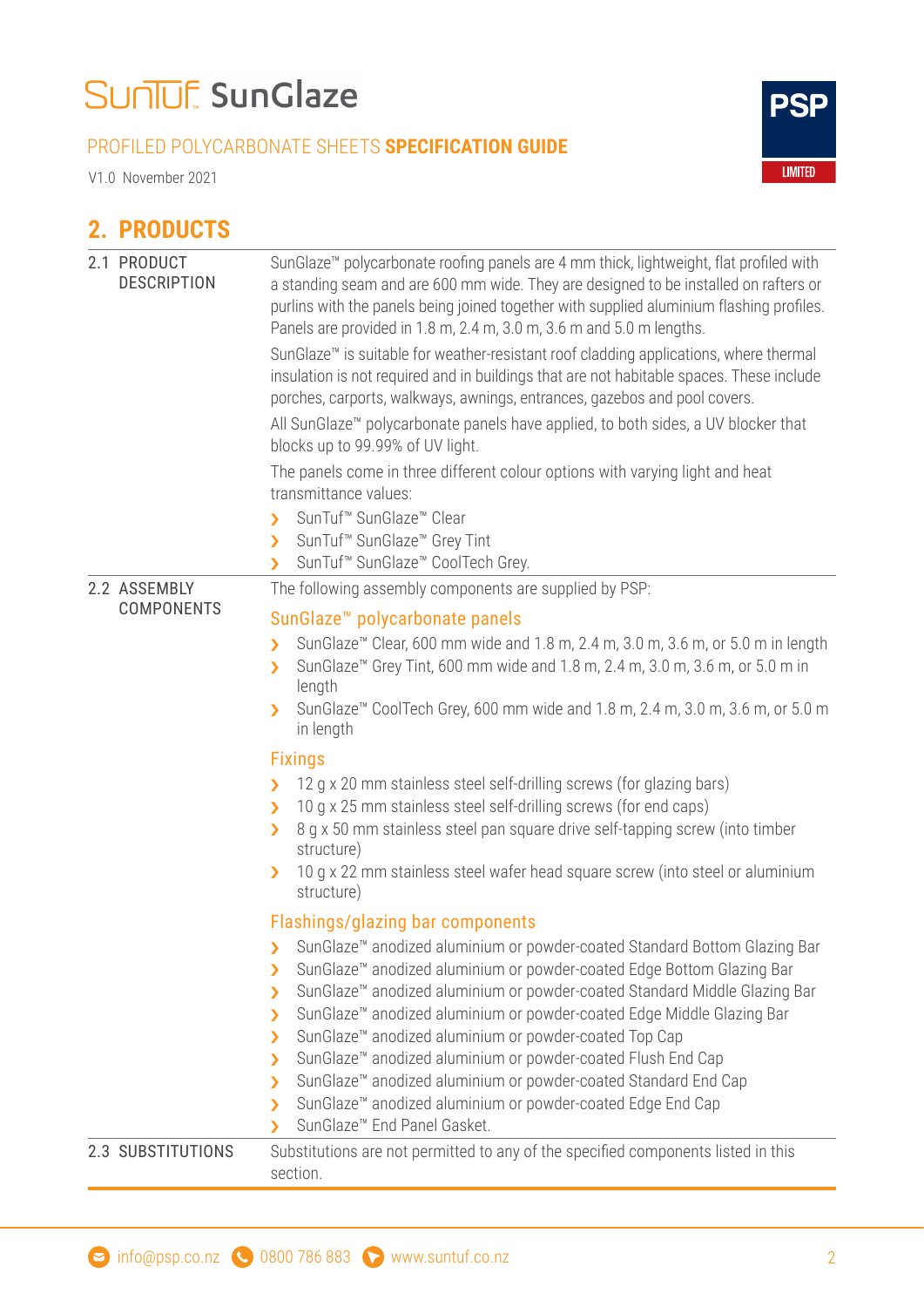### SUNUF SunGlaze

#### PROFILED POLYCARBONATE SHEETS **SPECIFICATION GUIDE**

V1.0 November 2021

#### **2. PRODUCTS**

|  | 2.1 PRODUCT<br><b>DESCRIPTION</b> | SunGlaze <sup>™</sup> polycarbonate roofing panels are 4 mm thick, lightweight, flat profiled with<br>a standing seam and are 600 mm wide. They are designed to be installed on rafters or<br>purlins with the panels being joined together with supplied aluminium flashing profiles.<br>Panels are provided in 1.8 m, 2.4 m, 3.0 m, 3.6 m and 5.0 m lengths.<br>SunGlaze™ is suitable for weather-resistant roof cladding applications, where thermal<br>insulation is not required and in buildings that are not habitable spaces. These include<br>porches, carports, walkways, awnings, entrances, gazebos and pool covers.<br>All SunGlaze™ polycarbonate panels have applied, to both sides, a UV blocker that<br>blocks up to 99.99% of UV light.<br>The panels come in three different colour options with varying light and heat<br>transmittance values:<br>SunTuf <sup>™</sup> SunGlaze <sup>™</sup> Clear<br>У<br>SunTuf <sup>™</sup> SunGlaze <sup>™</sup> Grey Tint<br>У<br>SunTuf <sup>™</sup> SunGlaze <sup>™</sup> CoolTech Grey.<br>$\blacktriangleright$ |
|--|-----------------------------------|------------------------------------------------------------------------------------------------------------------------------------------------------------------------------------------------------------------------------------------------------------------------------------------------------------------------------------------------------------------------------------------------------------------------------------------------------------------------------------------------------------------------------------------------------------------------------------------------------------------------------------------------------------------------------------------------------------------------------------------------------------------------------------------------------------------------------------------------------------------------------------------------------------------------------------------------------------------------------------------------------------------------------------------------------------------------------|
|  | 2.2 ASSEMBLY                      | The following assembly components are supplied by PSP:                                                                                                                                                                                                                                                                                                                                                                                                                                                                                                                                                                                                                                                                                                                                                                                                                                                                                                                                                                                                                       |
|  | <b>COMPONENTS</b>                 | SunGlaze <sup>™</sup> polycarbonate panels                                                                                                                                                                                                                                                                                                                                                                                                                                                                                                                                                                                                                                                                                                                                                                                                                                                                                                                                                                                                                                   |
|  |                                   | SunGlaze <sup>™</sup> Clear, 600 mm wide and 1.8 m, 2.4 m, 3.0 m, 3.6 m, or 5.0 m in length<br>У<br>SunGlaze <sup>™</sup> Grey Tint, 600 mm wide and 1.8 m, 2.4 m, 3.0 m, 3.6 m, or 5.0 m in<br>У<br>length<br>SunGlaze <sup>™</sup> CoolTech Grey, 600 mm wide and 1.8 m, 2.4 m, 3.0 m, 3.6 m, or 5.0 m<br>in length                                                                                                                                                                                                                                                                                                                                                                                                                                                                                                                                                                                                                                                                                                                                                        |
|  |                                   |                                                                                                                                                                                                                                                                                                                                                                                                                                                                                                                                                                                                                                                                                                                                                                                                                                                                                                                                                                                                                                                                              |
|  |                                   | <b>Fixings</b><br>12 g x 20 mm stainless steel self-drilling screws (for glazing bars)<br>У<br>10 g x 25 mm stainless steel self-drilling screws (for end caps)<br>У<br>8 g x 50 mm stainless steel pan square drive self-tapping screw (into timber<br>У<br>structure)<br>10 g x 22 mm stainless steel wafer head square screw (into steel or aluminium<br>structure)                                                                                                                                                                                                                                                                                                                                                                                                                                                                                                                                                                                                                                                                                                       |
|  |                                   | Flashings/glazing bar components                                                                                                                                                                                                                                                                                                                                                                                                                                                                                                                                                                                                                                                                                                                                                                                                                                                                                                                                                                                                                                             |
|  |                                   | SunGlaze <sup>™</sup> anodized aluminium or powder-coated Standard Bottom Glazing Bar<br>><br>SunGlaze <sup>™</sup> anodized aluminium or powder-coated Edge Bottom Glazing Bar<br>У<br>SunGlaze <sup>™</sup> anodized aluminium or powder-coated Standard Middle Glazing Bar<br>⋗<br>SunGlaze <sup>™</sup> anodized aluminium or powder-coated Edge Middle Glazing Bar<br>⋗<br>SunGlaze™ anodized aluminium or powder-coated Top Cap<br>⋗<br>SunGlaze <sup>™</sup> anodized aluminium or powder-coated Flush End Cap<br>⋗<br>SunGlaze <sup>™</sup> anodized aluminium or powder-coated Standard End Cap<br>У<br>SunGlaze <sup>™</sup> anodized aluminium or powder-coated Edge End Cap<br>⋗<br>SunGlaze <sup>™</sup> End Panel Gasket.<br>У                                                                                                                                                                                                                                                                                                                                 |
|  | 2.3 SUBSTITUTIONS                 | Substitutions are not permitted to any of the specified components listed in this<br>section.                                                                                                                                                                                                                                                                                                                                                                                                                                                                                                                                                                                                                                                                                                                                                                                                                                                                                                                                                                                |
|  |                                   |                                                                                                                                                                                                                                                                                                                                                                                                                                                                                                                                                                                                                                                                                                                                                                                                                                                                                                                                                                                                                                                                              |

**PSP** 

**LIMITED**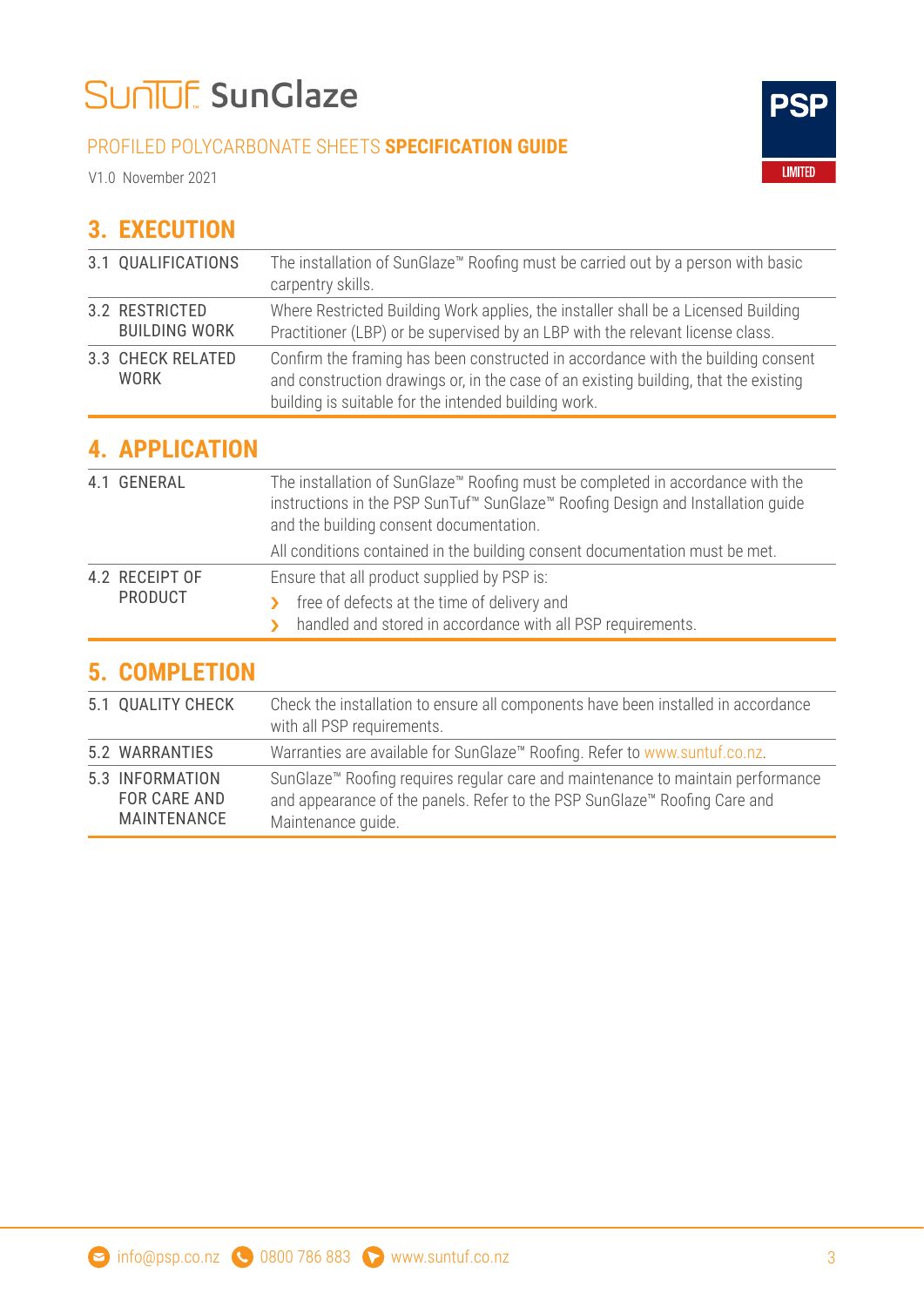### SUNUE SunGlaze

#### PROFILED POLYCARBONATE SHEETS **SPECIFICATION GUIDE**

V1.0 November 2021



#### **3. EXECUTION**

| 3.1 QUALIFICATIONS                      | The installation of SunGlaze™ Roofing must be carried out by a person with basic<br>carpentry skills.                                                                                                                            |
|-----------------------------------------|----------------------------------------------------------------------------------------------------------------------------------------------------------------------------------------------------------------------------------|
| 3.2 RESTRICTED<br><b>BUILDING WORK</b>  | Where Restricted Building Work applies, the installer shall be a Licensed Building<br>Practitioner (LBP) or be supervised by an LBP with the relevant license class.                                                             |
| <b>3.3 CHECK RELATED</b><br><b>WORK</b> | Confirm the framing has been constructed in accordance with the building consent<br>and construction drawings or, in the case of an existing building, that the existing<br>building is suitable for the intended building work. |

#### **4. APPLICATION**

|  | 4.1 GENERAL               | The installation of SunGlaze <sup>™</sup> Roofing must be completed in accordance with the<br>instructions in the PSP SunTuf <sup>™</sup> SunGlaze <sup>™</sup> Roofing Design and Installation quide<br>and the building consent documentation. |
|--|---------------------------|--------------------------------------------------------------------------------------------------------------------------------------------------------------------------------------------------------------------------------------------------|
|  |                           | All conditions contained in the building consent documentation must be met.                                                                                                                                                                      |
|  | 4.2 RECEIPT OF<br>PRODUCT | Ensure that all product supplied by PSP is:                                                                                                                                                                                                      |
|  |                           | free of defects at the time of delivery and<br>$\mathbf{v}$                                                                                                                                                                                      |
|  |                           | handled and stored in accordance with all PSP requirements.<br>$\mathbf{v}$                                                                                                                                                                      |

#### **5. COMPLETION**

| 5.1 QUALITY CHECK                              | Check the installation to ensure all components have been installed in accordance<br>with all PSP requirements.                                                                                |
|------------------------------------------------|------------------------------------------------------------------------------------------------------------------------------------------------------------------------------------------------|
| 5.2 WARRANTIES                                 | Warranties are available for SunGlaze™ Roofing. Refer to www.suntuf.co.nz.                                                                                                                     |
| 5.3 INFORMATION<br>FOR CARE AND<br>MAINTENANCE | SunGlaze <sup>™</sup> Roofing requires regular care and maintenance to maintain performance<br>and appearance of the panels. Refer to the PSP SunGlaze™ Roofing Care and<br>Maintenance quide. |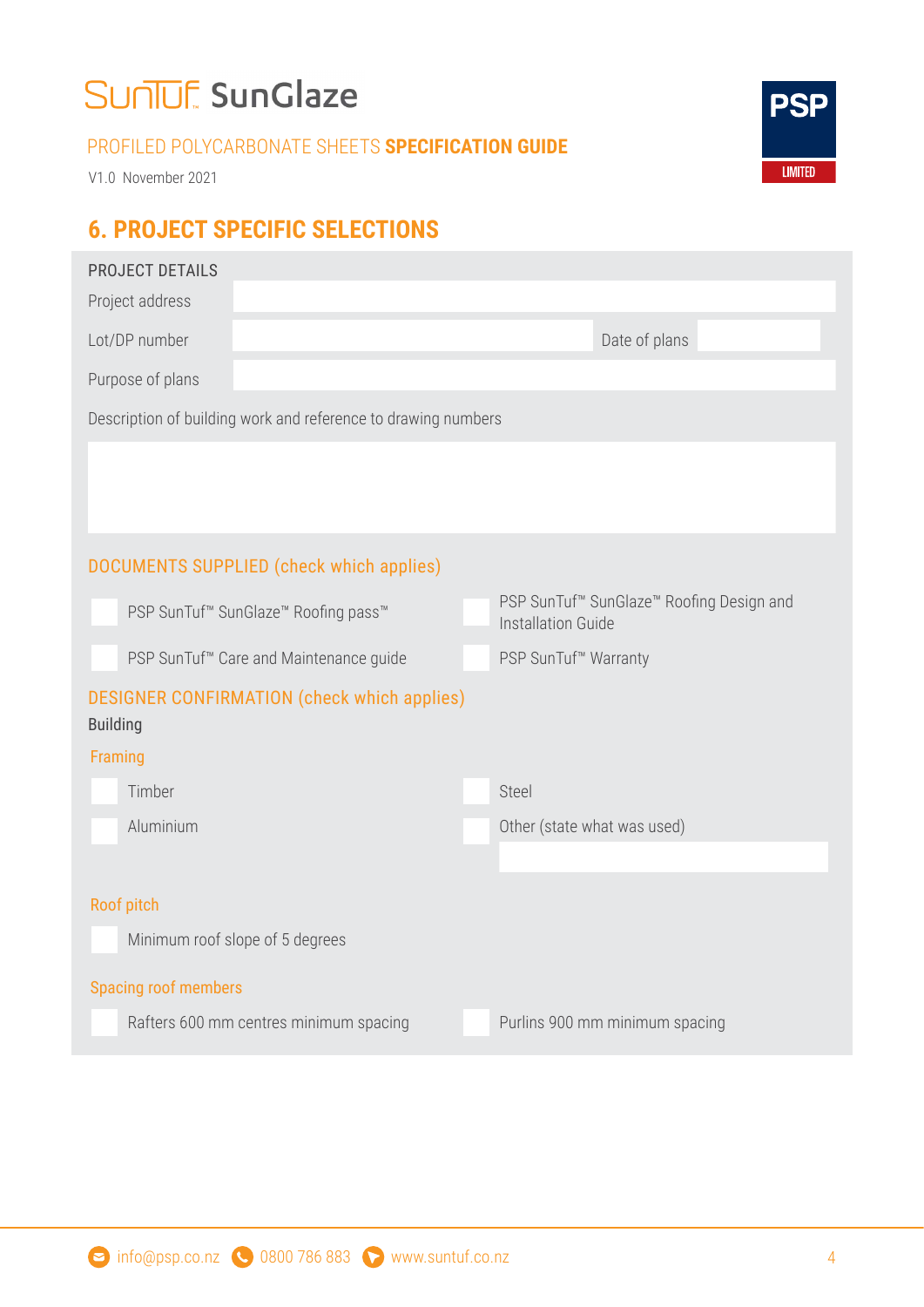### SUNUE SunGlaze

#### PROFILED POLYCARBONATE SHEETS **SPECIFICATION GUIDE**

V1.0 November 2021

#### **6. PROJECT SPECIFIC SELECTIONS**

| <b>PROJECT DETAILS</b>                                                  |                                                                                               |
|-------------------------------------------------------------------------|-----------------------------------------------------------------------------------------------|
| Project address                                                         |                                                                                               |
| Lot/DP number                                                           | Date of plans                                                                                 |
| Purpose of plans                                                        |                                                                                               |
| Description of building work and reference to drawing numbers           |                                                                                               |
|                                                                         |                                                                                               |
|                                                                         |                                                                                               |
|                                                                         |                                                                                               |
| <b>DOCUMENTS SUPPLIED (check which applies)</b>                         |                                                                                               |
| PSP SunTuf <sup>™</sup> SunGlaze <sup>™</sup> Roofing pass <sup>™</sup> | PSP SunTuf <sup>™</sup> SunGlaze <sup>™</sup> Roofing Design and<br><b>Installation Guide</b> |
| PSP SunTuf <sup>™</sup> Care and Maintenance guide                      | PSP SunTuf <sup>™</sup> Warranty                                                              |
| <b>DESIGNER CONFIRMATION (check which applies)</b><br><b>Building</b>   |                                                                                               |
| Framing                                                                 |                                                                                               |
| Timber                                                                  | Steel                                                                                         |
| Aluminium                                                               | Other (state what was used)                                                                   |
|                                                                         |                                                                                               |
| Roof pitch                                                              |                                                                                               |
| Minimum roof slope of 5 degrees                                         |                                                                                               |
| <b>Spacing roof members</b>                                             |                                                                                               |
| Rafters 600 mm centres minimum spacing                                  | Purlins 900 mm minimum spacing                                                                |
|                                                                         |                                                                                               |